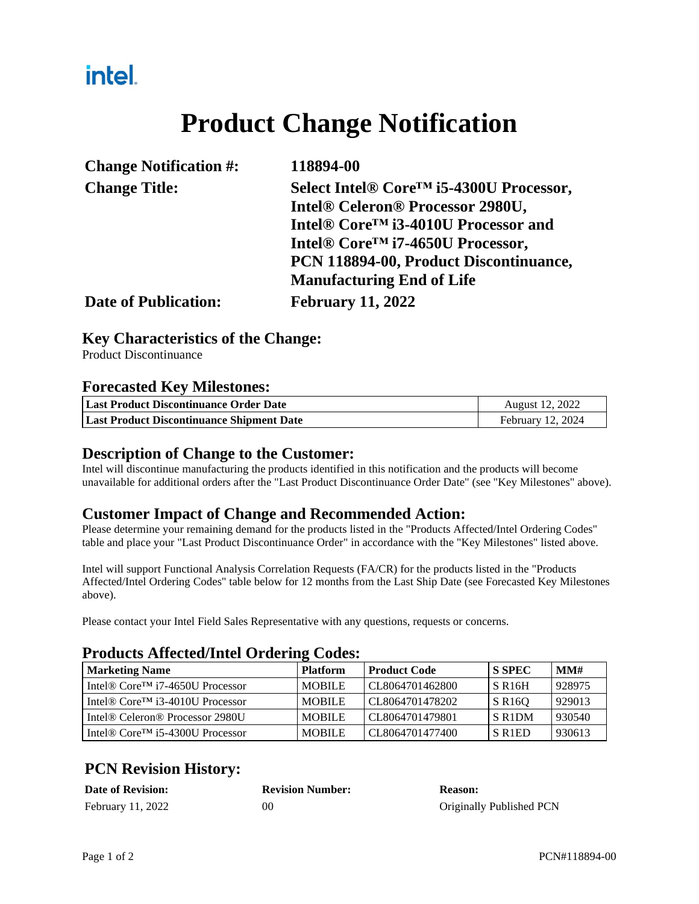# *intel.*

# **Product Change Notification**

| <b>Change Notification #:</b> | 118894-00                                           |  |
|-------------------------------|-----------------------------------------------------|--|
| <b>Change Title:</b>          | Select Intel® Core <sup>™</sup> i5-4300U Processor, |  |
|                               | Intel® Celeron® Processor 2980U,                    |  |
|                               | Intel® Core <sup>™</sup> i3-4010U Processor and     |  |
|                               | Intel® Core <sup>TM</sup> i7-4650U Processor,       |  |
|                               | PCN 118894-00, Product Discontinuance,              |  |
|                               | <b>Manufacturing End of Life</b>                    |  |
| <b>Date of Publication:</b>   | <b>February 11, 2022</b>                            |  |

#### **Key Characteristics of the Change:**

Product Discontinuance

#### **Forecasted Key Milestones:**

| <b>Last Product Discontinuance Order Date</b>    | August 12, 2022   |
|--------------------------------------------------|-------------------|
| <b>Last Product Discontinuance Shipment Date</b> | February 12, 2024 |

### **Description of Change to the Customer:**

Intel will discontinue manufacturing the products identified in this notification and the products will become unavailable for additional orders after the "Last Product Discontinuance Order Date" (see "Key Milestones" above).

## **Customer Impact of Change and Recommended Action:**

Please determine your remaining demand for the products listed in the "Products Affected/Intel Ordering Codes" table and place your "Last Product Discontinuance Order" in accordance with the "Key Milestones" listed above.

Intel will support Functional Analysis Correlation Requests (FA/CR) for the products listed in the "Products Affected/Intel Ordering Codes" table below for 12 months from the Last Ship Date (see Forecasted Key Milestones above).

Please contact your Intel Field Sales Representative with any questions, requests or concerns.

### **Products Affected/Intel Ordering Codes:**

| <b>Marketing Name</b>                                    | <b>Platform</b> | <b>Product Code</b> | <b>S SPEC</b>         | MMH    |
|----------------------------------------------------------|-----------------|---------------------|-----------------------|--------|
| Intel <sup>®</sup> Core <sup>TM</sup> i7-4650U Processor | <b>MOBILE</b>   | CL8064701462800     | $S$ R <sub>16</sub> H | 928975 |
| Intel <sup>®</sup> Core <sup>TM</sup> i3-4010U Processor | <b>MOBILE</b>   | CL8064701478202     | <b>S R16O</b>         | 929013 |
| Intel <sup>®</sup> Celeron <sup>®</sup> Processor 2980U  | <b>MOBILE</b>   | CL8064701479801     | I S R1DM              | 930540 |
| Intel <sup>®</sup> Core <sup>TM</sup> i5-4300U Processor | <b>MOBILE</b>   | CL8064701477400     | I S R1ED              | 930613 |

## **PCN Revision History:**

| <b>Date of Revision:</b> | <b>Revision Number:</b> | <b>Reason:</b>           |
|--------------------------|-------------------------|--------------------------|
| February 11, 2022        | 00                      | Originally Published PCN |